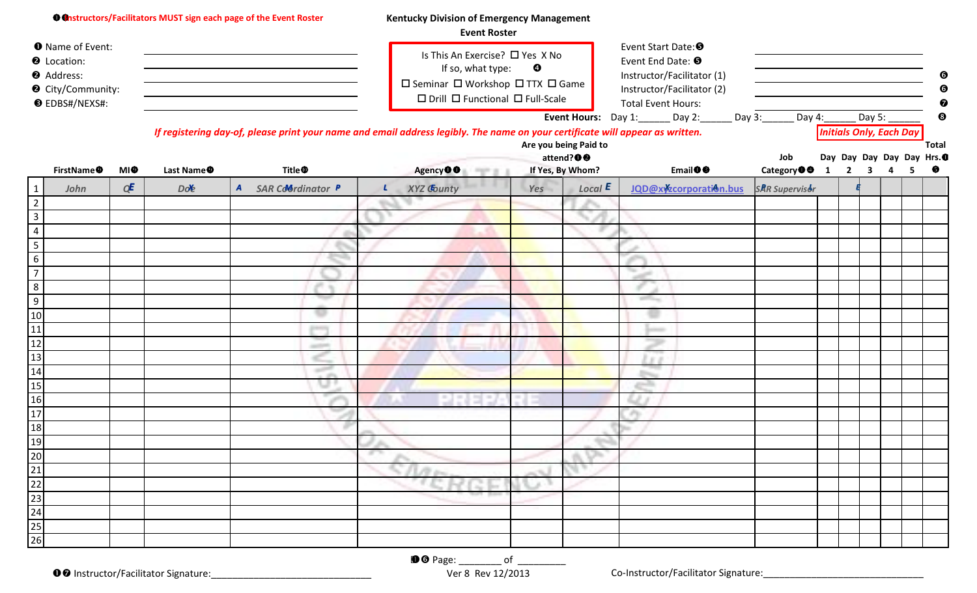| Event Start Date: 0<br><b>O</b> Name of Event:<br>Is This An Exercise? □ Yes X No<br>Event End Date: <sup>O</sup><br><b>@</b> Location:<br>If so, what type:<br>$\boldsymbol{\Theta}$<br>Instructor/Facilitator (1)<br>Address:<br>□ Seminar □ Workshop □ TTX □ Game<br><sup>O</sup> City/Community:<br>Instructor/Facilitator (2)<br>$\Box$ Drill $\Box$ Functional $\Box$ Full-Scale<br><b>O</b> EDBS#/NEXS#:<br><b>Total Event Hours:</b><br>Event Hours: Day 1:<br>Day 2:<br>Day 3:<br>Day 4:<br>Day 5:<br><b>Initials Only, Each Day</b><br>If registering day-of, please print your name and email address legibly. The name on your certificate will appear as written.<br>Are you being Paid to<br>attend? <sup>O</sup><br>Job<br>Category <sup>OO</sup> 1<br>Agency <sup>OO</sup><br>Email <sup>O</sup><br>Last Name <sup><sup>O</sup></sup><br><b>Title</b> <sup>®</sup><br>FirstName <sup><sup>O</sup></sup><br><b>MIO</b><br>If Yes, By Whom?<br>$\overline{2}$<br>$\mathbf{3}$<br>$Q^E$<br>Local $E$<br>SAR Coldrdinator P<br><b>SRR Supervisor</b><br><b>Dole</b><br>$\mathbf{A}$<br>XYZ County<br>JQD@xyzcorporation.bus<br>$\mathbf{1}$<br>John<br>$\mathbf{r}$<br>Yes | ❻<br>$\bullet$<br>❼<br>❸<br>Total<br>Day Day Day Day Day Hrs. <sup>0</sup><br>€<br>4 |
|----------------------------------------------------------------------------------------------------------------------------------------------------------------------------------------------------------------------------------------------------------------------------------------------------------------------------------------------------------------------------------------------------------------------------------------------------------------------------------------------------------------------------------------------------------------------------------------------------------------------------------------------------------------------------------------------------------------------------------------------------------------------------------------------------------------------------------------------------------------------------------------------------------------------------------------------------------------------------------------------------------------------------------------------------------------------------------------------------------------------------------------------------------------------------------------|--------------------------------------------------------------------------------------|
| $\overline{2}$                                                                                                                                                                                                                                                                                                                                                                                                                                                                                                                                                                                                                                                                                                                                                                                                                                                                                                                                                                                                                                                                                                                                                                         |                                                                                      |
|                                                                                                                                                                                                                                                                                                                                                                                                                                                                                                                                                                                                                                                                                                                                                                                                                                                                                                                                                                                                                                                                                                                                                                                        |                                                                                      |
|                                                                                                                                                                                                                                                                                                                                                                                                                                                                                                                                                                                                                                                                                                                                                                                                                                                                                                                                                                                                                                                                                                                                                                                        |                                                                                      |
|                                                                                                                                                                                                                                                                                                                                                                                                                                                                                                                                                                                                                                                                                                                                                                                                                                                                                                                                                                                                                                                                                                                                                                                        |                                                                                      |
| $\mathbf{3}$                                                                                                                                                                                                                                                                                                                                                                                                                                                                                                                                                                                                                                                                                                                                                                                                                                                                                                                                                                                                                                                                                                                                                                           |                                                                                      |
| $\overline{a}$                                                                                                                                                                                                                                                                                                                                                                                                                                                                                                                                                                                                                                                                                                                                                                                                                                                                                                                                                                                                                                                                                                                                                                         |                                                                                      |
| $\overline{5}$                                                                                                                                                                                                                                                                                                                                                                                                                                                                                                                                                                                                                                                                                                                                                                                                                                                                                                                                                                                                                                                                                                                                                                         |                                                                                      |
| $6\,$                                                                                                                                                                                                                                                                                                                                                                                                                                                                                                                                                                                                                                                                                                                                                                                                                                                                                                                                                                                                                                                                                                                                                                                  |                                                                                      |
| $\overline{7}$                                                                                                                                                                                                                                                                                                                                                                                                                                                                                                                                                                                                                                                                                                                                                                                                                                                                                                                                                                                                                                                                                                                                                                         |                                                                                      |
| $\overline{8}$                                                                                                                                                                                                                                                                                                                                                                                                                                                                                                                                                                                                                                                                                                                                                                                                                                                                                                                                                                                                                                                                                                                                                                         |                                                                                      |
| $\overline{9}$<br>$\frac{1}{2} \left( \frac{1}{2} \right)^{2} \left( \frac{1}{2} \right)^{2} \left( \frac{1}{2} \right)^{2} \left( \frac{1}{2} \right)^{2} \left( \frac{1}{2} \right)^{2} \left( \frac{1}{2} \right)^{2} \left( \frac{1}{2} \right)^{2} \left( \frac{1}{2} \right)^{2} \left( \frac{1}{2} \right)^{2} \left( \frac{1}{2} \right)^{2} \left( \frac{1}{2} \right)^{2} \left( \frac{1}{2} \right)^{2} \left( \frac{1}{2} \right)^{2} \left( \frac$                                                                                                                                                                                                                                                                                                                                                                                                                                                                                                                                                                                                                                                                                                                        |                                                                                      |
| 10                                                                                                                                                                                                                                                                                                                                                                                                                                                                                                                                                                                                                                                                                                                                                                                                                                                                                                                                                                                                                                                                                                                                                                                     |                                                                                      |
| 11                                                                                                                                                                                                                                                                                                                                                                                                                                                                                                                                                                                                                                                                                                                                                                                                                                                                                                                                                                                                                                                                                                                                                                                     |                                                                                      |
| <b>STATISTICS</b>                                                                                                                                                                                                                                                                                                                                                                                                                                                                                                                                                                                                                                                                                                                                                                                                                                                                                                                                                                                                                                                                                                                                                                      |                                                                                      |
| $\frac{11}{12}$ $\frac{13}{14}$<br>W.I                                                                                                                                                                                                                                                                                                                                                                                                                                                                                                                                                                                                                                                                                                                                                                                                                                                                                                                                                                                                                                                                                                                                                 |                                                                                      |
|                                                                                                                                                                                                                                                                                                                                                                                                                                                                                                                                                                                                                                                                                                                                                                                                                                                                                                                                                                                                                                                                                                                                                                                        |                                                                                      |
| 15<br>u.<br>والسنج                                                                                                                                                                                                                                                                                                                                                                                                                                                                                                                                                                                                                                                                                                                                                                                                                                                                                                                                                                                                                                                                                                                                                                     |                                                                                      |
| $\frac{16}{17}$                                                                                                                                                                                                                                                                                                                                                                                                                                                                                                                                                                                                                                                                                                                                                                                                                                                                                                                                                                                                                                                                                                                                                                        |                                                                                      |
|                                                                                                                                                                                                                                                                                                                                                                                                                                                                                                                                                                                                                                                                                                                                                                                                                                                                                                                                                                                                                                                                                                                                                                                        |                                                                                      |
| $\frac{18}{19}$                                                                                                                                                                                                                                                                                                                                                                                                                                                                                                                                                                                                                                                                                                                                                                                                                                                                                                                                                                                                                                                                                                                                                                        |                                                                                      |
|                                                                                                                                                                                                                                                                                                                                                                                                                                                                                                                                                                                                                                                                                                                                                                                                                                                                                                                                                                                                                                                                                                                                                                                        |                                                                                      |
| <b>ATTN</b><br>い                                                                                                                                                                                                                                                                                                                                                                                                                                                                                                                                                                                                                                                                                                                                                                                                                                                                                                                                                                                                                                                                                                                                                                       |                                                                                      |
| u<br>m                                                                                                                                                                                                                                                                                                                                                                                                                                                                                                                                                                                                                                                                                                                                                                                                                                                                                                                                                                                                                                                                                                                                                                                 |                                                                                      |
| <b>Thursday</b>                                                                                                                                                                                                                                                                                                                                                                                                                                                                                                                                                                                                                                                                                                                                                                                                                                                                                                                                                                                                                                                                                                                                                                        |                                                                                      |
|                                                                                                                                                                                                                                                                                                                                                                                                                                                                                                                                                                                                                                                                                                                                                                                                                                                                                                                                                                                                                                                                                                                                                                                        |                                                                                      |
|                                                                                                                                                                                                                                                                                                                                                                                                                                                                                                                                                                                                                                                                                                                                                                                                                                                                                                                                                                                                                                                                                                                                                                                        |                                                                                      |
| 20<br>21<br>22<br>23<br>24<br>25<br>25<br>26                                                                                                                                                                                                                                                                                                                                                                                                                                                                                                                                                                                                                                                                                                                                                                                                                                                                                                                                                                                                                                                                                                                                           |                                                                                      |
|                                                                                                                                                                                                                                                                                                                                                                                                                                                                                                                                                                                                                                                                                                                                                                                                                                                                                                                                                                                                                                                                                                                                                                                        |                                                                                      |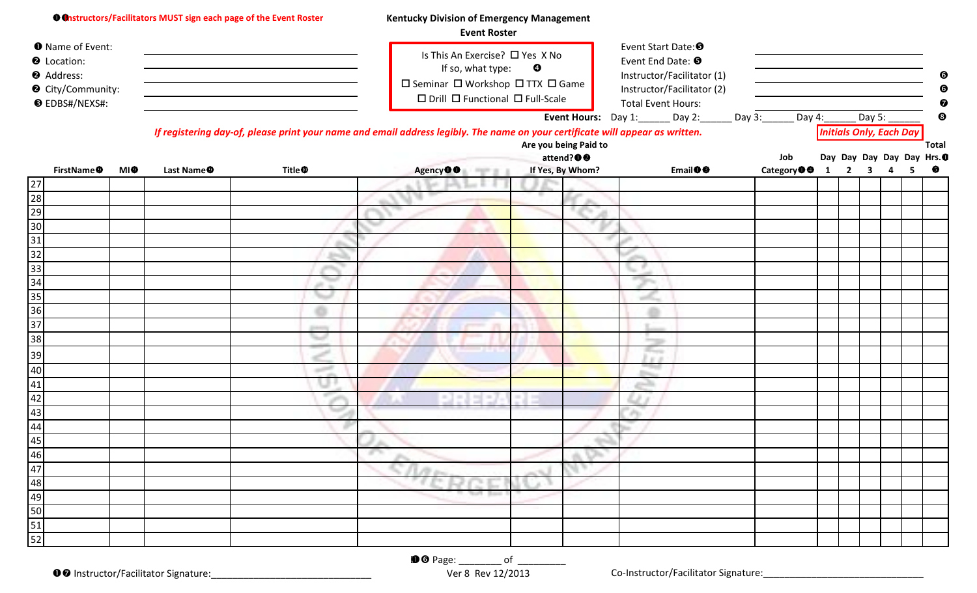| <b>O Onstructors/Facilitators MUST sign each page of the Event Roster</b>                                                   |                                   |            |                                   | <b>Kentucky Division of Emergency Management</b><br><b>Event Roster</b> |                                                                                                                                                                                        |                       |                                                                                          |                                                                                                                                                         |                                           |                |                                   |                                                           |                                                          |
|-----------------------------------------------------------------------------------------------------------------------------|-----------------------------------|------------|-----------------------------------|-------------------------------------------------------------------------|----------------------------------------------------------------------------------------------------------------------------------------------------------------------------------------|-----------------------|------------------------------------------------------------------------------------------|---------------------------------------------------------------------------------------------------------------------------------------------------------|-------------------------------------------|----------------|-----------------------------------|-----------------------------------------------------------|----------------------------------------------------------|
| <b>O</b> Name of Event:<br><b>@</b> Location:<br><b>@</b> Address:<br><sup>O</sup> City/Community:<br><b>O</b> EDBS#/NEXS#: |                                   |            |                                   |                                                                         | Is This An Exercise? □ Yes X No<br>If so, what type:<br>$\square$ Seminar $\square$ Workshop $\square$ TTX $\square$ Game<br>$\square$ Drill $\square$ Functional $\square$ Full-Scale | $\boldsymbol{\Theta}$ |                                                                                          | Event Start Date: <sup>0</sup><br>Event End Date: <sup>6</sup><br>Instructor/Facilitator (1)<br>Instructor/Facilitator (2)<br><b>Total Event Hours:</b> |                                           |                |                                   |                                                           | ❻<br>❺<br>❼                                              |
|                                                                                                                             | FirstName <sup><sup>®</sup></sup> | <b>MI®</b> | Last Name <sup><sup>O</sup></sup> | <b>Title</b> <sup>®</sup>                                               | If registering day-of, please print your name and email address legibly. The name on your certificate will appear as written.<br>Agency <sup>OO</sup><br><b>PERCHAND</b>               |                       | Event Hours: Day 1:<br>Are you being Paid to<br>attend? <sup>O</sup><br>If Yes, By Whom? | Day 2:<br>Day 3:<br>Email <sup>0</sup>                                                                                                                  | Day 4:<br>Job<br>Category <sup>OO</sup> 1 | $\overline{2}$ | Day 5:<br>$\overline{\mathbf{3}}$ | <b>Initials Only, Each Day</b><br>$\overline{\mathbf{4}}$ | ❸<br>Total<br>Day Day Day Day Day Hrs. <sup>0</sup><br>€ |
|                                                                                                                             |                                   |            |                                   |                                                                         |                                                                                                                                                                                        |                       |                                                                                          |                                                                                                                                                         |                                           |                |                                   |                                                           |                                                          |
|                                                                                                                             |                                   |            |                                   |                                                                         |                                                                                                                                                                                        |                       |                                                                                          |                                                                                                                                                         |                                           |                |                                   |                                                           |                                                          |
|                                                                                                                             |                                   |            |                                   |                                                                         |                                                                                                                                                                                        |                       |                                                                                          |                                                                                                                                                         |                                           |                |                                   |                                                           |                                                          |
|                                                                                                                             |                                   |            |                                   |                                                                         |                                                                                                                                                                                        |                       |                                                                                          |                                                                                                                                                         |                                           |                |                                   |                                                           |                                                          |
|                                                                                                                             |                                   |            |                                   |                                                                         |                                                                                                                                                                                        |                       |                                                                                          |                                                                                                                                                         |                                           |                |                                   |                                                           |                                                          |
|                                                                                                                             |                                   |            |                                   |                                                                         |                                                                                                                                                                                        |                       |                                                                                          |                                                                                                                                                         |                                           |                |                                   |                                                           |                                                          |
|                                                                                                                             |                                   |            |                                   |                                                                         |                                                                                                                                                                                        |                       |                                                                                          |                                                                                                                                                         |                                           |                |                                   |                                                           |                                                          |
|                                                                                                                             |                                   |            |                                   |                                                                         |                                                                                                                                                                                        |                       |                                                                                          |                                                                                                                                                         |                                           |                |                                   |                                                           |                                                          |
|                                                                                                                             |                                   |            |                                   |                                                                         |                                                                                                                                                                                        |                       |                                                                                          |                                                                                                                                                         |                                           |                |                                   |                                                           |                                                          |
| <u>27 ما 28 ما 32 ما 32 ما 32 ما 32 ما 33 ما 33 ما 33 ما 33 ما 33 ما 33 ما 33 ما 33 ما 33 ما 33 ما 33 ما </u>               |                                   |            |                                   |                                                                         |                                                                                                                                                                                        |                       |                                                                                          |                                                                                                                                                         |                                           |                |                                   |                                                           |                                                          |
|                                                                                                                             |                                   |            |                                   | governmy                                                                |                                                                                                                                                                                        |                       |                                                                                          |                                                                                                                                                         |                                           |                |                                   |                                                           |                                                          |
|                                                                                                                             |                                   |            |                                   |                                                                         |                                                                                                                                                                                        |                       |                                                                                          |                                                                                                                                                         |                                           |                |                                   |                                                           |                                                          |
| 39                                                                                                                          |                                   |            |                                   |                                                                         |                                                                                                                                                                                        |                       |                                                                                          | <b>Street of the United States</b>                                                                                                                      |                                           |                |                                   |                                                           |                                                          |
|                                                                                                                             |                                   |            |                                   |                                                                         |                                                                                                                                                                                        |                       |                                                                                          |                                                                                                                                                         |                                           |                |                                   |                                                           |                                                          |
| $\begin{array}{r} 40 \\ 41 \\ 42 \\ 43 \\ 44 \\ 45 \end{array}$                                                             |                                   |            |                                   |                                                                         |                                                                                                                                                                                        |                       |                                                                                          | والسنبر                                                                                                                                                 |                                           |                |                                   |                                                           |                                                          |
|                                                                                                                             |                                   |            |                                   |                                                                         |                                                                                                                                                                                        |                       |                                                                                          |                                                                                                                                                         |                                           |                |                                   |                                                           |                                                          |
|                                                                                                                             |                                   |            |                                   |                                                                         |                                                                                                                                                                                        |                       |                                                                                          |                                                                                                                                                         |                                           |                |                                   |                                                           |                                                          |
|                                                                                                                             |                                   |            |                                   |                                                                         |                                                                                                                                                                                        |                       |                                                                                          |                                                                                                                                                         |                                           |                |                                   |                                                           |                                                          |
|                                                                                                                             |                                   |            |                                   |                                                                         |                                                                                                                                                                                        |                       |                                                                                          |                                                                                                                                                         |                                           |                |                                   |                                                           |                                                          |
|                                                                                                                             |                                   |            |                                   |                                                                         |                                                                                                                                                                                        |                       | ñ.                                                                                       |                                                                                                                                                         |                                           |                |                                   |                                                           |                                                          |
|                                                                                                                             |                                   |            |                                   |                                                                         |                                                                                                                                                                                        | <b>COLL</b>           | ND.                                                                                      |                                                                                                                                                         |                                           |                |                                   |                                                           |                                                          |
|                                                                                                                             |                                   |            |                                   |                                                                         |                                                                                                                                                                                        |                       |                                                                                          |                                                                                                                                                         |                                           |                |                                   |                                                           |                                                          |
| 46<br>41<br>51<br>51<br>52<br>52                                                                                            |                                   |            |                                   |                                                                         | North Board                                                                                                                                                                            |                       |                                                                                          |                                                                                                                                                         |                                           |                |                                   |                                                           |                                                          |
|                                                                                                                             |                                   |            |                                   |                                                                         |                                                                                                                                                                                        |                       |                                                                                          |                                                                                                                                                         |                                           |                |                                   |                                                           |                                                          |
|                                                                                                                             |                                   |            |                                   |                                                                         |                                                                                                                                                                                        |                       |                                                                                          |                                                                                                                                                         |                                           |                |                                   |                                                           |                                                          |
|                                                                                                                             |                                   |            |                                   |                                                                         |                                                                                                                                                                                        |                       |                                                                                          |                                                                                                                                                         |                                           |                |                                   |                                                           |                                                          |

 $\text{TO Page:} \quad \text{O = 8} \quad \text{O = 12} \quad \text{O = 12} \quad \text{O = 12} \quad \text{O = 12} \quad \text{O = 12} \quad \text{O = 12} \quad \text{O = 12} \quad \text{O = 12} \quad \text{O = 12} \quad \text{O = 12} \quad \text{O = 12} \quad \text{O = 12} \quad \text{O = 12} \quad \text{O = 12} \quad \text{O = 12} \quad \text{O = 12} \quad \text{O = 12} \quad \text{O = 12} \quad \text{$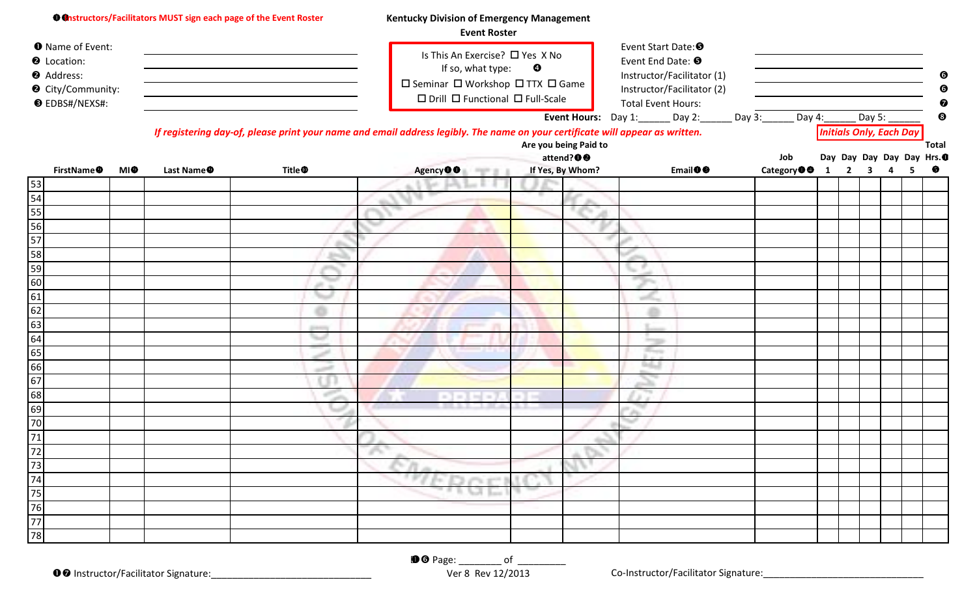|                                                                                                                    |            | <b>O @nstructors/Facilitators MUST sign each page of the Event Roster</b> |                           | <b>Kentucky Division of Emergency Management</b><br><b>Event Roster</b>                                                                                                       |                       |                                                                                          |                                                                                                                                              |                                         |              |                |                                                                                                                   |                 |
|--------------------------------------------------------------------------------------------------------------------|------------|---------------------------------------------------------------------------|---------------------------|-------------------------------------------------------------------------------------------------------------------------------------------------------------------------------|-----------------------|------------------------------------------------------------------------------------------|----------------------------------------------------------------------------------------------------------------------------------------------|-----------------------------------------|--------------|----------------|-------------------------------------------------------------------------------------------------------------------|-----------------|
| <b>O</b> Name of Event:<br><b>@</b> Location:<br>Address:<br><sup>O</sup> City/Community:<br><b>O</b> EDBS#/NEXS#: |            |                                                                           |                           | Is This An Exercise? □ Yes X No<br>If so, what type:<br>$\square$ Seminar $\square$ Workshop $\square$ TTX $\square$ Game<br>$\Box$ Drill $\Box$ Functional $\Box$ Full-Scale | $\boldsymbol{\Theta}$ |                                                                                          | Event Start Date: 0<br>Event End Date: <sup>6</sup><br>Instructor/Facilitator (1)<br>Instructor/Facilitator (2)<br><b>Total Event Hours:</b> |                                         |              |                |                                                                                                                   | ❻<br>❻<br>❼     |
| FirstName <sup><sup>®</sup></sup>                                                                                  | <b>MIO</b> | Last Name <sup><sup>O</sup></sup>                                         | <b>Title</b> <sup>®</sup> | If registering day-of, please print your name and email address legibly. The name on your certificate will appear as written.<br>Agency <sup>OO</sup>                         |                       | <b>Event Hours:</b><br>Are you being Paid to<br>attend? <sup>O</sup><br>If Yes, By Whom? | Day 2:<br>Day $1:$<br>Day 3:<br>Email <sup>O</sup>                                                                                           | Day 4:<br>Job<br>Category <sup>OO</sup> | $\mathbf{1}$ | $\overline{2}$ | Day 5:<br><b>Initials Only, Each Day</b><br>Day Day Day Day Day Hrs. <sup>0</sup><br>$\overline{\mathbf{3}}$<br>4 | ❸<br>Total<br>€ |
|                                                                                                                    |            |                                                                           |                           |                                                                                                                                                                               |                       |                                                                                          |                                                                                                                                              |                                         |              |                |                                                                                                                   |                 |
| $\frac{53}{54}$                                                                                                    |            |                                                                           |                           |                                                                                                                                                                               |                       |                                                                                          |                                                                                                                                              |                                         |              |                |                                                                                                                   |                 |
|                                                                                                                    |            |                                                                           |                           |                                                                                                                                                                               |                       |                                                                                          |                                                                                                                                              |                                         |              |                |                                                                                                                   |                 |
|                                                                                                                    |            |                                                                           |                           |                                                                                                                                                                               |                       |                                                                                          |                                                                                                                                              |                                         |              |                |                                                                                                                   |                 |
|                                                                                                                    |            |                                                                           |                           |                                                                                                                                                                               |                       |                                                                                          |                                                                                                                                              |                                         |              |                |                                                                                                                   |                 |
|                                                                                                                    |            |                                                                           |                           |                                                                                                                                                                               |                       |                                                                                          |                                                                                                                                              |                                         |              |                |                                                                                                                   |                 |
|                                                                                                                    |            |                                                                           |                           |                                                                                                                                                                               |                       |                                                                                          |                                                                                                                                              |                                         |              |                |                                                                                                                   |                 |
| 56<br>57<br>58<br>59<br>60<br>61<br>62                                                                             |            |                                                                           |                           |                                                                                                                                                                               |                       |                                                                                          |                                                                                                                                              |                                         |              |                |                                                                                                                   |                 |
|                                                                                                                    |            |                                                                           |                           |                                                                                                                                                                               |                       |                                                                                          |                                                                                                                                              |                                         |              |                |                                                                                                                   |                 |
|                                                                                                                    |            |                                                                           |                           |                                                                                                                                                                               |                       |                                                                                          |                                                                                                                                              |                                         |              |                |                                                                                                                   |                 |
|                                                                                                                    |            |                                                                           |                           |                                                                                                                                                                               |                       |                                                                                          |                                                                                                                                              |                                         |              |                |                                                                                                                   |                 |
|                                                                                                                    |            |                                                                           |                           |                                                                                                                                                                               |                       |                                                                                          |                                                                                                                                              |                                         |              |                |                                                                                                                   |                 |
|                                                                                                                    |            |                                                                           |                           |                                                                                                                                                                               |                       |                                                                                          | <b>STANDS</b>                                                                                                                                |                                         |              |                |                                                                                                                   |                 |
| 63<br>64<br>65<br>66<br>67<br>68                                                                                   |            |                                                                           |                           |                                                                                                                                                                               |                       |                                                                                          |                                                                                                                                              |                                         |              |                |                                                                                                                   |                 |
|                                                                                                                    |            |                                                                           |                           |                                                                                                                                                                               |                       |                                                                                          |                                                                                                                                              |                                         |              |                |                                                                                                                   |                 |
|                                                                                                                    |            |                                                                           |                           | $-1-1-1$                                                                                                                                                                      |                       |                                                                                          | -                                                                                                                                            |                                         |              |                |                                                                                                                   |                 |
| $\frac{69}{70}$                                                                                                    |            |                                                                           |                           |                                                                                                                                                                               |                       |                                                                                          |                                                                                                                                              |                                         |              |                |                                                                                                                   |                 |
|                                                                                                                    |            |                                                                           |                           |                                                                                                                                                                               |                       |                                                                                          |                                                                                                                                              |                                         |              |                |                                                                                                                   |                 |
|                                                                                                                    |            |                                                                           |                           |                                                                                                                                                                               |                       |                                                                                          |                                                                                                                                              |                                         |              |                |                                                                                                                   |                 |
|                                                                                                                    |            |                                                                           |                           |                                                                                                                                                                               |                       |                                                                                          |                                                                                                                                              |                                         |              |                |                                                                                                                   |                 |
|                                                                                                                    |            |                                                                           |                           |                                                                                                                                                                               |                       |                                                                                          |                                                                                                                                              |                                         |              |                |                                                                                                                   |                 |
|                                                                                                                    |            |                                                                           |                           |                                                                                                                                                                               |                       |                                                                                          |                                                                                                                                              |                                         |              |                |                                                                                                                   |                 |
|                                                                                                                    |            |                                                                           |                           | ч<br>m.                                                                                                                                                                       |                       |                                                                                          |                                                                                                                                              |                                         |              |                |                                                                                                                   |                 |
|                                                                                                                    |            |                                                                           |                           |                                                                                                                                                                               |                       |                                                                                          |                                                                                                                                              |                                         |              |                |                                                                                                                   |                 |
| 71<br>72<br>73<br>74<br>75<br>76<br>77<br>78                                                                       |            |                                                                           |                           |                                                                                                                                                                               |                       |                                                                                          |                                                                                                                                              |                                         |              |                |                                                                                                                   |                 |
|                                                                                                                    |            |                                                                           |                           |                                                                                                                                                                               |                       |                                                                                          |                                                                                                                                              |                                         |              |                |                                                                                                                   |                 |

|  | $\mathbf{\mathbf{\mathbf{\Theta}}}$ Page: |  |  |
|--|-------------------------------------------|--|--|
|--|-------------------------------------------|--|--|